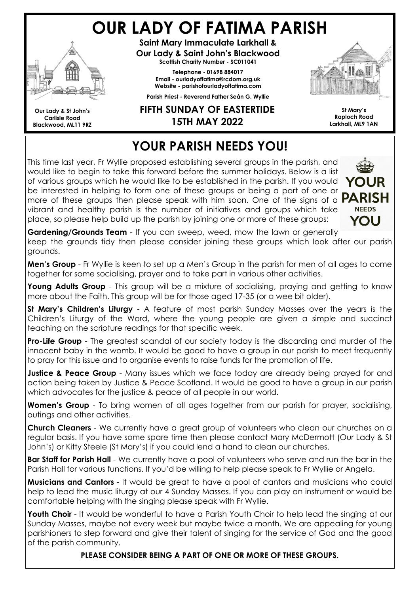# OUR LADY OF FATIMA PARISH



Our Lady & St John's Carlisle Road Blackwood, ML11 9RZ

Saint Mary Immaculate Larkhall & Our Lady & Saint John's Blackwood Scottish Charity Number - SC011041

> Telephone - 01698 884017 Email - ourladyoffatima@rcdom.org.uk Website - parishofourladyoffatima.com

Parish Priest - Reverend Father Seán G. Wyllie

#### FIFTH SUNDAY OF EASTERTIDE 15TH MAY 2022



St Mary's Raploch Road Larkhall, ML9 1AN

## YOUR PARISH NEEDS YOU!

This time last year, Fr Wyllie proposed establishing several groups in the parish, and would like to begin to take this forward before the summer holidays. Below is a list of various groups which he would like to be established in the parish. If you would be interested in helping to form one of these groups or being a part of one or more of these groups then please speak with him soon. One of the signs of a  $P$ vibrant and healthy parish is the number of initiatives and groups which take place, so please help build up the parish by joining one or more of these groups:



Gardening/Grounds Team - If you can sweep, weed, mow the lawn or generally

keep the grounds tidy then please consider joining these groups which look after our parish grounds.

Men's Group - Fr Wyllie is keen to set up a Men's Group in the parish for men of all ages to come together for some socialising, prayer and to take part in various other activities.

Young Adults Group - This group will be a mixture of socialising, praying and getting to know more about the Faith. This group will be for those aged 17-35 (or a wee bit older).

St Mary's Children's Liturgy - A feature of most parish Sunday Masses over the years is the Children's Liturgy of the Word, where the young people are given a simple and succinct teaching on the scripture readings for that specific week.

**Pro-Life Group** - The greatest scandal of our society today is the discarding and murder of the innocent baby in the womb. It would be good to have a group in our parish to meet frequently to pray for this issue and to organise events to raise funds for the promotion of life.

**Justice & Peace Group** - Many issues which we face today are already being prayed for and action being taken by Justice & Peace Scotland. It would be good to have a group in our parish which advocates for the justice & peace of all people in our world.

Women's Group - To bring women of all ages together from our parish for prayer, socialising, outings and other activities.

Church Cleaners - We currently have a great group of volunteers who clean our churches on a regular basis. If you have some spare time then please contact Mary McDermott (Our Lady & St John's) or Kitty Steele (St Mary's) if you could lend a hand to clean our churches.

**Bar Staff for Parish Hall** - We currently have a pool of volunteers who serve and run the bar in the Parish Hall for various functions. If you'd be willing to help please speak to Fr Wyllie or Angela.

**Musicians and Cantors** - It would be great to have a pool of cantors and musicians who could help to lead the music liturgy at our 4 Sunday Masses. If you can play an instrument or would be comfortable helping with the singing please speak with Fr Wyllie.

Youth Choir - It would be wonderful to have a Parish Youth Choir to help lead the singing at our Sunday Masses, maybe not every week but maybe twice a month. We are appealing for young parishioners to step forward and give their talent of singing for the service of God and the good of the parish community.

PLEASE CONSIDER BEING A PART OF ONE OR MORE OF THESE GROUPS.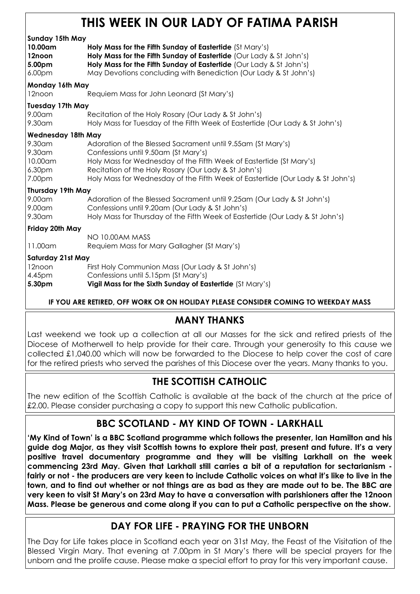## THIS WEEK IN OUR LADY OF FATIMA PARISH

| Sunday 15th May<br>10.00am<br>12noon<br>5.00pm<br>6.00pm | Holy Mass for the Fifth Sunday of Eastertide (St Mary's)<br>Holy Mass for the Fifth Sunday of Eastertide (Our Lady & St John's)<br>Holy Mass for the Fifth Sunday of Eastertide (Our Lady & St John's)<br>May Devotions concluding with Benediction (Our Lady & St John's)                                           |  |
|----------------------------------------------------------|----------------------------------------------------------------------------------------------------------------------------------------------------------------------------------------------------------------------------------------------------------------------------------------------------------------------|--|
| Monday 16th May                                          |                                                                                                                                                                                                                                                                                                                      |  |
| 12noon                                                   | Requiem Mass for John Leonard (St Mary's)                                                                                                                                                                                                                                                                            |  |
| <b>Tuesday 17th May</b><br>9.00am<br>9.30am              | Recitation of the Holy Rosary (Our Lady & St John's)<br>Holy Mass for Tuesday of the Fifth Week of Eastertide (Our Lady & St John's)                                                                                                                                                                                 |  |
| <b>Wednesday 18th May</b>                                |                                                                                                                                                                                                                                                                                                                      |  |
| 9.30am<br>9.30am<br>10.00am<br>6.30pm<br>7.00pm          | Adoration of the Blessed Sacrament until 9.55am (St Mary's)<br>Confessions until 9.50am (St Mary's)<br>Holy Mass for Wednesday of the Fifth Week of Eastertide (St Mary's)<br>Recitation of the Holy Rosary (Our Lady & St John's)<br>Holy Mass for Wednesday of the Fifth Week of Eastertide (Our Lady & St John's) |  |
| Thursday 19th May                                        |                                                                                                                                                                                                                                                                                                                      |  |
| 9.00am<br>9.00am<br>9.30am                               | Adoration of the Blessed Sacrament until 9.25am (Our Lady & St John's)<br>Confessions until 9.20am (Our Lady & St John's)<br>Holy Mass for Thursday of the Fifth Week of Eastertide (Our Lady & St John's)                                                                                                           |  |
| Friday 20th May                                          |                                                                                                                                                                                                                                                                                                                      |  |
| 11.00am                                                  | NO 10.00AM MASS<br>Requiem Mass for Mary Gallagher (St Mary's)                                                                                                                                                                                                                                                       |  |
| <b>Saturday 21st May</b>                                 |                                                                                                                                                                                                                                                                                                                      |  |
| 12noon                                                   | First Holy Communion Mass (Our Lady & St John's)                                                                                                                                                                                                                                                                     |  |
| 4.45pm<br>5.30pm                                         | Confessions until 5.15pm (St Mary's)<br>Vigil Mass for the Sixth Sunday of Eastertide (St Mary's)                                                                                                                                                                                                                    |  |

IF YOU ARE RETIRED, OFF WORK OR ON HOLIDAY PLEASE CONSIDER COMING TO WEEKDAY MASS

#### MANY THANKS

Last weekend we took up a collection at all our Masses for the sick and retired priests of the Diocese of Motherwell to help provide for their care. Through your generosity to this cause we collected £1,040.00 which will now be forwarded to the Diocese to help cover the cost of care for the retired priests who served the parishes of this Diocese over the years. Many thanks to you.

#### THE SCOTTISH CATHOLIC

The new edition of the Scottish Catholic is available at the back of the church at the price of £2.00. Please consider purchasing a copy to support this new Catholic publication.

#### BBC SCOTLAND - MY KIND OF TOWN - LARKHALL

'My Kind of Town' is a BBC Scotland programme which follows the presenter, Ian Hamilton and his guide dog Major, as they visit Scottish towns to explore their past, present and future. It's a very positive travel documentary programme and they will be visiting Larkhall on the week commencing 23rd May. Given that Larkhall still carries a bit of a reputation for sectarianism fairly or not - the producers are very keen to include Catholic voices on what it's like to live in the town, and to find out whether or not things are as bad as they are made out to be. The BBC are very keen to visit St Mary's on 23rd May to have a conversation with parishioners after the 12noon Mass. Please be generous and come along if you can to put a Catholic perspective on the show.

#### DAY FOR LIFE - PRAYING FOR THE UNBORN

The Day for Life takes place in Scotland each year on 31st May, the Feast of the Visitation of the Blessed Virgin Mary. That evening at 7.00pm in St Mary's there will be special prayers for the unborn and the prolife cause. Please make a special effort to pray for this very important cause.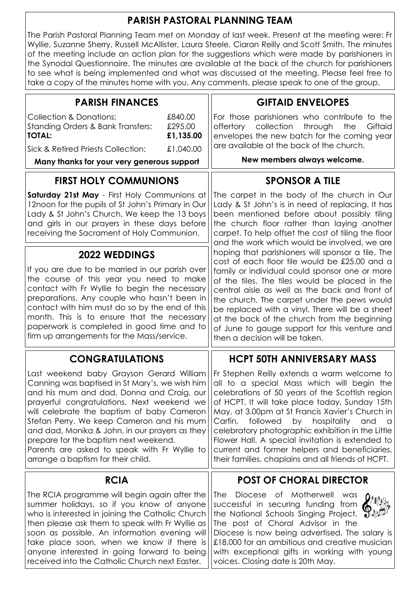#### PARISH PASTORAL PLANNING TEAM

The Parish Pastoral Planning Team met on Monday of last week. Present at the meeting were: Fr Wyllie, Suzanne Sherry, Russell McAllister, Laura Steele, Ciaran Reilly and Scott Smith. The minutes of the meeting include an action plan for the suggestions which were made by parishioners in the Synodal Questionnaire. The minutes are available at the back of the church for parishioners to see what is being implemented and what was discussed at the meeting. Please feel free to take a copy of the minutes home with you. Any comments, please speak to one of the group.

| <b>PARISH FINANCES</b>                                                                                                                                                                                                                                                                                                                                                                   | <b>GIFTAID ENVELOPES</b>                                                                                                                                                                                                                                                                                                                                                                                   |  |
|------------------------------------------------------------------------------------------------------------------------------------------------------------------------------------------------------------------------------------------------------------------------------------------------------------------------------------------------------------------------------------------|------------------------------------------------------------------------------------------------------------------------------------------------------------------------------------------------------------------------------------------------------------------------------------------------------------------------------------------------------------------------------------------------------------|--|
| <b>Collection &amp; Donations:</b><br>£840.00<br><b>Standing Orders &amp; Bank Transfers:</b><br>£295.00<br><b>TOTAL:</b><br>£1,135.00                                                                                                                                                                                                                                                   | For those parishioners who contribute to the<br>collection<br>through<br>the<br>Giftaid<br>offertory<br>envelopes the new batch for the coming year                                                                                                                                                                                                                                                        |  |
| £1,040.00<br>Sick & Retired Priests Collection:                                                                                                                                                                                                                                                                                                                                          | are available at the back of the church.                                                                                                                                                                                                                                                                                                                                                                   |  |
| Many thanks for your very generous support                                                                                                                                                                                                                                                                                                                                               | New members always welcome.                                                                                                                                                                                                                                                                                                                                                                                |  |
| <b>FIRST HOLY COMMUNIONS</b>                                                                                                                                                                                                                                                                                                                                                             | <b>SPONSOR A TILE</b>                                                                                                                                                                                                                                                                                                                                                                                      |  |
| Saturday 21st May - First Holy Communions at<br>12noon for the pupils of St John's Primary in Our<br>Lady & St John's Church. We keep the 13 boys<br>and girls in our prayers in these days before<br>receiving the Sacrament of Holy Communion.                                                                                                                                         | The carpet in the body of the church in Our<br>Lady & St John's is in need of replacing. It has<br>been mentioned before about possibly tiling<br>the church floor rather than laying another<br>carpet. To help offset the cost of tiling the floor<br>and the work which would be involved, we are<br>hoping that parishioners will sponsor a tile. The<br>cost of each floor tile would be £25.00 and a |  |
| <b>2022 WEDDINGS</b>                                                                                                                                                                                                                                                                                                                                                                     |                                                                                                                                                                                                                                                                                                                                                                                                            |  |
| If you are due to be married in our parish over<br>the course of this year you need to make<br>contact with Fr Wyllie to begin the necessary<br>preparations. Any couple who hasn't been in<br>contact with him must do so by the end of this<br>month. This is to ensure that the necessary<br>paperwork is completed in good time and to<br>firm up arrangements for the Mass/service. | family or individual could sponsor one or more<br>of the tiles. The tiles would be placed in the<br>central aisle as well as the back and front of<br>the church. The carpet under the pews would<br>be replaced with a vinyl. There will be a sheet<br>at the back of the church from the beginning<br>of June to gauge support for this venture and<br>then a decision will be taken.                    |  |
| <b>CONGRATULATIONS</b>                                                                                                                                                                                                                                                                                                                                                                   | <b>HCPT 50TH ANNIVERSARY MASS</b>                                                                                                                                                                                                                                                                                                                                                                          |  |
| Last weekend baby Grayson Gerard William<br>Canning was baptised in St Mary's, we wish him<br>and his mum and dad, Donna and Craig, our<br>prayerful congratulations. Next weekend we<br>will celebrate the baptism of baby Cameron<br>Stefan Perry. We keep Cameron and his mum<br>and dad, Monika & John, in our prayers as they                                                       | Fr Stephen Reilly extends a warm welcome to<br>all to a special Mass which will begin the<br>celebrations of 50 years of the Scottish region<br>of HCPT. It will take place today, Sunday 15th<br>May, at 3.00pm at St Francis Xavier's Church in<br>Carfin,<br>followed<br>hospitality<br>by<br>and<br>a<br>celebratory photographic exhibition in the Little                                             |  |
| prepare for the baptism next weekend.<br>Parents are asked to speak with Fr Wyllie to<br>arrange a baptism for their child.                                                                                                                                                                                                                                                              | Flower Hall. A special invitation is extended to<br>current and former helpers and beneficiaries,<br>their families, chaplains and all friends of HCPT.                                                                                                                                                                                                                                                    |  |
| <b>RCIA</b>                                                                                                                                                                                                                                                                                                                                                                              | <b>POST OF CHORAL DIRECTOR</b>                                                                                                                                                                                                                                                                                                                                                                             |  |